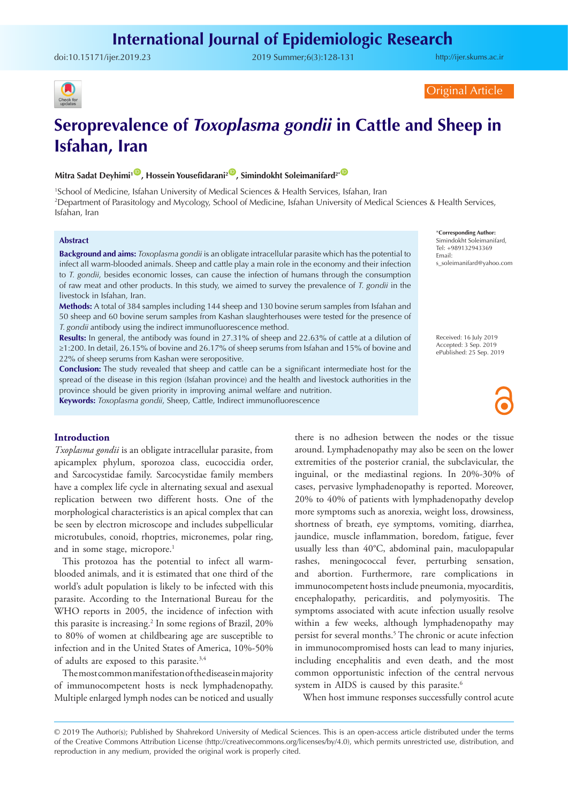## **International Journal of Epidemiologic Research**

doi:10.15171/ijer.2019.23 2019 Summer;6(3):128-131

<http://ijer.skums.ac.ir>



Original Article

# **Seroprevalence of** *Toxoplasma gondii* **in Cattle and Sheep in Isfahan, Iran**

## **Mitra Sadat Deyhimi<sup>1</sup><sup>(D</sup>, Hossein Yousefidarani<sup>2</sub><sup>(D</sup>, Simindokht Soleimanifard<sup>2\*</sub> <sup>O</sup>**</sup></sup>

1 School of Medicine, Isfahan University of Medical Sciences & Health Services, Isfahan, Iran 2 Department of Parasitology and Mycology, School of Medicine, Isfahan University of Medical Sciences & Health Services, Isfahan, Iran

#### **Abstract**

**Background and aims:** *Toxoplasma gondii* is an obligate intracellular parasite which has the potential to infect all warm-blooded animals. Sheep and cattle play a main role in the economy and their infection to *T. gondii*, besides economic losses, can cause the infection of humans through the consumption of raw meat and other products. In this study, we aimed to survey the prevalence of *T. gondii* in the livestock in Isfahan, Iran.

**Methods:** A total of 384 samples including 144 sheep and 130 bovine serum samples from Isfahan and 50 sheep and 60 bovine serum samples from Kashan slaughterhouses were tested for the presence of *T. gondii* antibody using the indirect immunofluorescence method.

**Results:** In general, the antibody was found in 27.31% of sheep and 22.63% of cattle at a dilution of ≥1:200. In detail, 26.15% of bovine and 26.17% of sheep serums from Isfahan and 15% of bovine and 22% of sheep serums from Kashan were seropositive.

**Conclusion:** The study revealed that sheep and cattle can be a significant intermediate host for the spread of the disease in this region (Isfahan province) and the health and livestock authorities in the province should be given priority in improving animal welfare and nutrition. **Keywords:** *Toxoplasma gondii*, Sheep, Cattle, Indirect immunofluorescence

\***Corresponding Author:** Simindokht Soleimanifard, Tel: +989132943369 Email: s\_soleimanifard@yahoo.com

Received: 16 July 2019 Accepted: 3 Sep. 2019 ePublished: 25 Sep. 2019

## **Introduction**

*Txoplasma gondii* is an obligate intracellular parasite, from apicamplex phylum, sporozoa class, eucoccidia order, and Sarcocystidae family. Sarcocystidae family members have a complex life cycle in alternating sexual and asexual replication between two different hosts. One of the morphological characteristics is an apical complex that can be seen by electron microscope and includes subpellicular microtubules, conoid, rhoptries, micronemes, polar ring, and in some stage, micropore.<sup>1</sup>

This protozoa has the potential to infect all warmblooded animals, and it is estimated that one third of the world's adult population is likely to be infected with this parasite. According to the International Bureau for the WHO reports in 2005, the incidence of infection with this parasite is increasing.2 In some regions of Brazil, 20% to 80% of women at childbearing age are susceptible to infection and in the United States of America, 10%-50% of adults are exposed to this parasite.<sup>3,4</sup>

The most common manifestation of the disease in majority of immunocompetent hosts is neck lymphadenopathy. Multiple enlarged lymph nodes can be noticed and usually

there is no adhesion between the nodes or the tissue around. Lymphadenopathy may also be seen on the lower extremities of the posterior cranial, the subclavicular, the inguinal, or the mediastinal regions. In 20%-30% of cases, pervasive lymphadenopathy is reported. Moreover, 20% to 40% of patients with lymphadenopathy develop more symptoms such as anorexia, weight loss, drowsiness, shortness of breath, eye symptoms, vomiting, diarrhea, jaundice, muscle inflammation, boredom, fatigue, fever usually less than 40°C, abdominal pain, maculopapular rashes, meningococcal fever, perturbing sensation, and abortion. Furthermore, rare complications in immunocompetent hosts include pneumonia, myocarditis, encephalopathy, pericarditis, and polymyositis. The symptoms associated with acute infection usually resolve within a few weeks, although lymphadenopathy may persist for several months.<sup>5</sup> The chronic or acute infection in immunocompromised hosts can lead to many injuries, including encephalitis and even death, and the most common opportunistic infection of the central nervous system in AIDS is caused by this parasite.<sup>6</sup>

When host immune responses successfully control acute

<sup>© 2019</sup> The Author(s); Published by Shahrekord University of Medical Sciences. This is an open-access article distributed under the terms of the Creative Commons Attribution License (http://creativecommons.org/licenses/by/4.0), which permits unrestricted use, distribution, and reproduction in any medium, provided the original work is properly cited.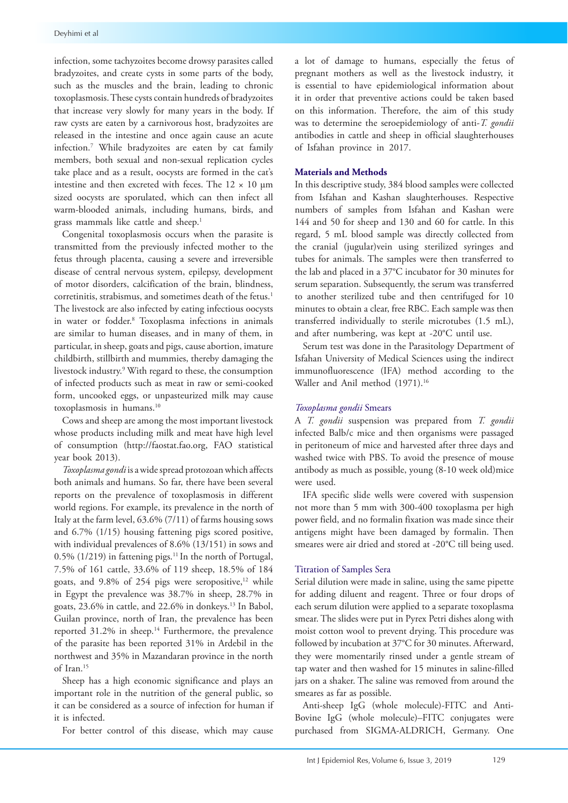infection, some tachyzoites become drowsy parasites called bradyzoites, and create cysts in some parts of the body, such as the muscles and the brain, leading to chronic toxoplasmosis. These cysts contain hundreds of bradyzoites that increase very slowly for many years in the body. If raw cysts are eaten by a carnivorous host, bradyzoites are released in the intestine and once again cause an acute infection.7 While bradyzoites are eaten by cat family members, both sexual and non-sexual replication cycles take place and as a result, oocysts are formed in the cat's intestine and then excreted with feces. The  $12 \times 10$  µm sized oocysts are sporulated, which can then infect all warm-blooded animals, including humans, birds, and grass mammals like cattle and sheep.<sup>1</sup>

Congenital toxoplasmosis occurs when the parasite is transmitted from the previously infected mother to the fetus through placenta, causing a severe and irreversible disease of central nervous system, epilepsy, development of motor disorders, calcification of the brain, blindness, corretinitis, strabismus, and sometimes death of the fetus.<sup>1</sup> The livestock are also infected by eating infectious oocysts in water or fodder.8 Toxoplasma infections in animals are similar to human diseases, and in many of them, in particular, in sheep, goats and pigs, cause abortion, imature childbirth, stillbirth and mummies, thereby damaging the livestock industry.9 With regard to these, the consumption of infected products such as meat in raw or semi-cooked form, uncooked eggs, or unpasteurized milk may cause toxoplasmosis in humans.10

Cows and sheep are among the most important livestock whose products including milk and meat have high level of consumption [\(http://faostat.fao.org](http://faostat.fao.org), FAO statistical year book 2013).

*Toxoplasma gondi* is a wide spread protozoan which affects both animals and humans. So far, there have been several reports on the prevalence of toxoplasmosis in different world regions. For example, its prevalence in the north of Italy at the farm level, 63.6% (7/11) of farms housing sows and 6.7% (1/15) housing fattening pigs scored positive, with individual prevalences of 8.6% (13/151) in sows and 0.5% (1/219) in fattening pigs.<sup>11</sup> In the north of Portugal, 7.5% of 161 cattle, 33.6% of 119 sheep, 18.5% of 184 goats, and  $9.8\%$  of 254 pigs were seropositive,<sup>12</sup> while in Egypt the prevalence was 38.7% in sheep, 28.7% in goats, 23.6% in cattle, and 22.6% in donkeys.13 In Babol, Guilan province, north of Iran, the prevalence has been reported 31.2% in sheep.<sup>14</sup> Furthermore, the prevalence of the parasite has been reported 31% in Ardebil in the northwest and 35% in Mazandaran province in the north of Iran.15

Sheep has a high economic significance and plays an important role in the nutrition of the general public, so it can be considered as a source of infection for human if it is infected.

For better control of this disease, which may cause

a lot of damage to humans, especially the fetus of pregnant mothers as well as the livestock industry, it is essential to have epidemiological information about it in order that preventive actions could be taken based on this information. Therefore, the aim of this study was to determine the seroepidemiology of anti-*T. gondii*  antibodies in cattle and sheep in official slaughterhouses of Isfahan province in 2017.

## **Materials and Methods**

In this descriptive study, 384 blood samples were collected from Isfahan and Kashan slaughterhouses. Respective numbers of samples from Isfahan and Kashan were 144 and 50 for sheep and 130 and 60 for cattle. In this regard, 5 mL blood sample was directly collected from the cranial (jugular)vein using sterilized syringes and tubes for animals. The samples were then transferred to the lab and placed in a 37°C incubator for 30 minutes for serum separation. Subsequently, the serum was transferred to another sterilized tube and then centrifuged for 10 minutes to obtain a clear, free RBC. Each sample was then transferred individually to sterile microtubes (1.5 mL), and after numbering, was kept at -20°C until use.

Serum test was done in the Parasitology Department of Isfahan University of Medical Sciences using the indirect immunofluorescence (IFA) method according to the Waller and Anil method (1971).<sup>16</sup>

## *Toxoplasma gondii* Smears

A *T. gondii* suspension was prepared from *T. gondii*  infected Balb/c mice and then organisms were passaged in peritoneum of mice and harvested after three days and washed twice with PBS. To avoid the presence of mouse antibody as much as possible, young (8-10 week old)mice were used.

IFA specific slide wells were covered with suspension not more than 5 mm with 300-400 toxoplasma per high power field, and no formalin fixation was made since their antigens might have been damaged by formalin. Then smeares were air dried and stored at -20°C till being used.

#### Titration of Samples Sera

Serial dilution were made in saline, using the same pipette for adding diluent and reagent. Three or four drops of each serum dilution were applied to a separate toxoplasma smear. The slides were put in Pyrex Petri dishes along with moist cotton wool to prevent drying. This procedure was followed by incubation at 37°C for 30 minutes. Afterward, they were momentarily rinsed under a gentle stream of tap water and then washed for 15 minutes in saline-filled jars on a shaker. The saline was removed from around the smeares as far as possible.

Anti-sheep IgG (whole molecule)-FITC and Anti-Bovine IgG (whole molecule)–FITC conjugates were purchased from SIGMA-ALDRICH, Germany. One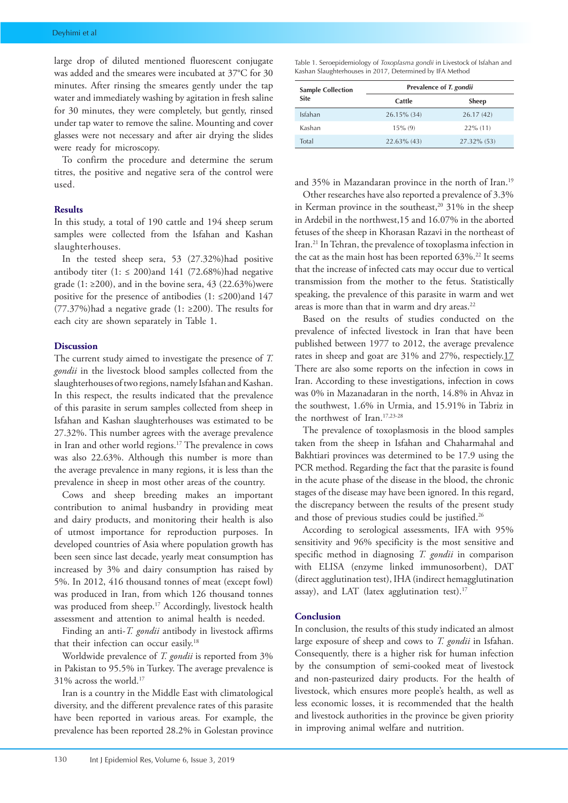large drop of diluted mentioned fluorescent conjugate was added and the smeares were incubated at 37°C for 30 minutes. After rinsing the smeares gently under the tap water and immediately washing by agitation in fresh saline for 30 minutes, they were completely, but gently, rinsed under tap water to remove the saline. Mounting and cover glasses were not necessary and after air drying the slides were ready for microscopy.

To confirm the procedure and determine the serum titres, the positive and negative sera of the control were used.

#### **Results**

In this study, a total of 190 cattle and 194 sheep serum samples were collected from the Isfahan and Kashan slaughterhouses.

In the tested sheep sera, 53 (27.32%)had positive antibody titer  $(1: \le 200)$  and 141 (72.68%) had negative grade (1:  $\geq$ 200), and in the bovine sera, 43 (22.63%)were positive for the presence of antibodies (1: ≤200)and 147 (77.37%)had a negative grade (1: ≥200). The results for each city are shown separately in Table 1.

#### **Discussion**

The current study aimed to investigate the presence of *T. gondii* in the livestock blood samples collected from the slaughterhouses of two regions, namely Isfahan and Kashan. In this respect, the results indicated that the prevalence of this parasite in serum samples collected from sheep in Isfahan and Kashan slaughterhouses was estimated to be 27.32%. This number agrees with the average prevalence in Iran and other world regions.17 The prevalence in cows was also 22.63%. Although this number is more than the average prevalence in many regions, it is less than the prevalence in sheep in most other areas of the country.

Cows and sheep breeding makes an important contribution to animal husbandry in providing meat and dairy products, and monitoring their health is also of utmost importance for reproduction purposes. In developed countries of Asia where population growth has been seen since last decade, yearly meat consumption has increased by 3% and dairy consumption has raised by 5%. In 2012, 416 thousand tonnes of meat (except fowl) was produced in Iran, from which 126 thousand tonnes was produced from sheep.<sup>17</sup> Accordingly, livestock health assessment and attention to animal health is needed.

Finding an anti-*T. gondii* antibody in livestock affirms that their infection can occur easily.18

Worldwide prevalence of *T. gondii* is reported from 3% in Pakistan to 95.5% in Turkey. The average prevalence is 31% across the world.17

Iran is a country in the Middle East with climatological diversity, and the different prevalence rates of this parasite have been reported in various areas. For example, the prevalence has been reported 28.2% in Golestan province

| <b>Sample Collection</b><br><b>Site</b> | Prevalence of T. gondii |              |
|-----------------------------------------|-------------------------|--------------|
|                                         | Cattle                  | <b>Sheep</b> |
| Isfahan                                 | 26.15% (34)             | 26.17(42)    |
| Kashan                                  | $15\%$ (9)              | $22\%$ (11)  |
| Total                                   | $22.63\%$ (43)          | 27.32% (53)  |

and 35% in Mazandaran province in the north of Iran.<sup>19</sup>

Other researches have also reported a prevalence of 3.3% in Kerman province in the southeast,<sup>20</sup> 31% in the sheep in Ardebil in the northwest,15 and 16.07% in the aborted fetuses of the sheep in Khorasan Razavi in the northeast of Iran.21 In Tehran, the prevalence of toxoplasma infection in the cat as the main host has been reported 63%.<sup>22</sup> It seems that the increase of infected cats may occur due to vertical transmission from the mother to the fetus. Statistically speaking, the prevalence of this parasite in warm and wet areas is more than that in warm and dry areas.<sup>22</sup>

Based on the results of studies conducted on the prevalence of infected livestock in Iran that have been published between 1977 to 2012, the average prevalence rates in sheep and goat are 31% and 27%, respectiely.17 There are also some reports on the infection in cows in Iran. According to these investigations, infection in cows was 0% in Mazanadaran in the north, 14.8% in Ahvaz in the southwest, 1.6% in Urmia, and 15.91% in Tabriz in the northwest of Iran.17,23-28

The prevalence of toxoplasmosis in the blood samples taken from the sheep in Isfahan and Chaharmahal and Bakhtiari provinces was determined to be 17.9 using the PCR method. Regarding the fact that the parasite is found in the acute phase of the disease in the blood, the chronic stages of the disease may have been ignored. In this regard, the discrepancy between the results of the present study and those of previous studies could be justified.<sup>26</sup>

According to serological assessments, IFA with 95% sensitivity and 96% specificity is the most sensitive and specific method in diagnosing *T. gondii* in comparison with ELISA (enzyme linked immunosorbent), DAT (direct agglutination test), IHA (indirect hemagglutination assay), and LAT (latex agglutination test).<sup>17</sup>

#### **Conclusion**

In conclusion, the results of this study indicated an almost large exposure of sheep and cows to *T. gondii* in Isfahan. Consequently, there is a higher risk for human infection by the consumption of semi-cooked meat of livestock and non-pasteurized dairy products. For the health of livestock, which ensures more people's health, as well as less economic losses, it is recommended that the health and livestock authorities in the province be given priority in improving animal welfare and nutrition.